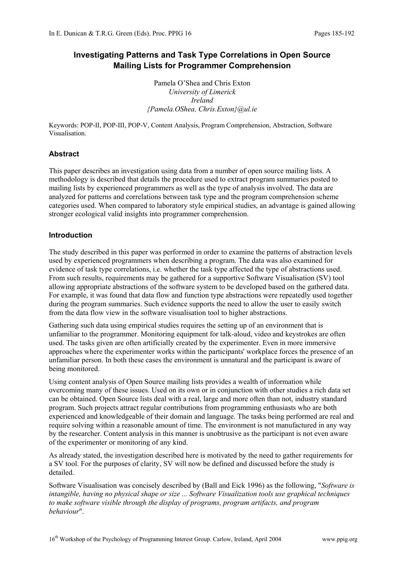# **Investigating Patterns and Task Type Correlations in Open Source Mailing Lists for Programmer Comprehension**

Pamela O'Shea and Chris Exton *University of Limerick Ireland {Pamela.OShea, Chris.Exton}@ul.ie* 

Keywords: POP-II, POP-III, POP-V, Content Analysis, Program Comprehension, Abstraction, Software Visualisation.

## **Abstract**

This paper describes an investigation using data from a number of open source mailing lists. A methodology is described that details the procedure used to extract program summaries posted to mailing lists by experienced programmers as well as the type of analysis involved. The data are analyzed for patterns and correlations between task type and the program comprehension scheme categories used. When compared to laboratory style empirical studies, an advantage is gained allowing stronger ecological valid insights into programmer comprehension.

## **Introduction**

The study described in this paper was performed in order to examine the patterns of abstraction levels used by experienced programmers when describing a program. The data was also examined for evidence of task type correlations, i.e. whether the task type affected the type of abstractions used. From such results, requirements may be gathered for a supportive Software Visualisation (SV) tool allowing appropriate abstractions of the software system to be developed based on the gathered data. For example, it was found that data flow and function type abstractions were repeatedly used together during the program summaries. Such evidence supports the need to allow the user to easily switch from the data flow view in the software visualisation tool to higher abstractions.

Gathering such data using empirical studies requires the setting up of an environment that is unfamiliar to the programmer. Monitoring equipment for talk-aloud, video and keystrokes are often used. The tasks given are often artificially created by the experimenter. Even in more immersive approaches where the experimenter works within the participants' workplace forces the presence of an unfamiliar person. In both these cases the environment is unnatural and the participant is aware of being monitored.

Using content analysis of Open Source mailing lists provides a wealth of information while overcoming many of these issues. Used on its own or in conjunction with other studies a rich data set can be obtained. Open Source lists deal with a real, large and more often than not, industry standard program. Such projects attract regular contributions from programming enthusiasts who are both experienced and knowledgeable of their domain and language. The tasks being performed are real and require solving within a reasonable amount of time. The environment is not manufactured in any way by the researcher. Content analysis in this manner is unobtrusive as the participant is not even aware of the experimenter or monitoring of any kind.

As already stated, the investigation described here is motivated by the need to gather requirements for a SV tool. For the purposes of clarity, SV will now be defined and discussed before the study is detailed.

Software Visualisation was concisely described by (Ball and Eick 1996) as the following, "*Software is intangible, having no physical shape or size ... Software Visualization tools use graphical techniques to make software visible through the display of programs, program artifacts, and program behaviour*".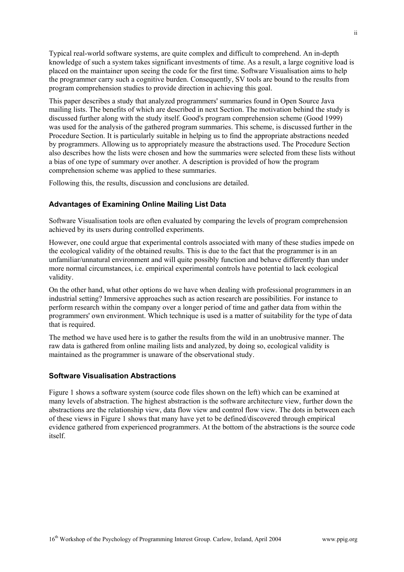Typical real-world software systems, are quite complex and difficult to comprehend. An in-depth knowledge of such a system takes significant investments of time. As a result, a large cognitive load is placed on the maintainer upon seeing the code for the first time. Software Visualisation aims to help the programmer carry such a cognitive burden. Consequently, SV tools are bound to the results from program comprehension studies to provide direction in achieving this goal.

This paper describes a study that analyzed programmers' summaries found in Open Source Java mailing lists. The benefits of which are described in next Section. The motivation behind the study is discussed further along with the study itself. Good's program comprehension scheme (Good 1999) was used for the analysis of the gathered program summaries. This scheme, is discussed further in the Procedure Section. It is particularly suitable in helping us to find the appropriate abstractions needed by programmers. Allowing us to appropriately measure the abstractions used. The Procedure Section also describes how the lists were chosen and how the summaries were selected from these lists without a bias of one type of summary over another. A description is provided of how the program comprehension scheme was applied to these summaries.

Following this, the results, discussion and conclusions are detailed.

## **Advantages of Examining Online Mailing List Data**

Software Visualisation tools are often evaluated by comparing the levels of program comprehension achieved by its users during controlled experiments.

However, one could argue that experimental controls associated with many of these studies impede on the ecological validity of the obtained results. This is due to the fact that the programmer is in an unfamiliar/unnatural environment and will quite possibly function and behave differently than under more normal circumstances, i.e. empirical experimental controls have potential to lack ecological validity.

On the other hand, what other options do we have when dealing with professional programmers in an industrial setting? Immersive approaches such as action research are possibilities. For instance to perform research within the company over a longer period of time and gather data from within the programmers' own environment. Which technique is used is a matter of suitability for the type of data that is required.

The method we have used here is to gather the results from the wild in an unobtrusive manner. The raw data is gathered from online mailing lists and analyzed, by doing so, ecological validity is maintained as the programmer is unaware of the observational study.

#### **Software Visualisation Abstractions**

Figure 1 shows a software system (source code files shown on the left) which can be examined at many levels of abstraction. The highest abstraction is the software architecture view, further down the abstractions are the relationship view, data flow view and control flow view. The dots in between each of these views in Figure 1 shows that many have yet to be defined/discovered through empirical evidence gathered from experienced programmers. At the bottom of the abstractions is the source code itself.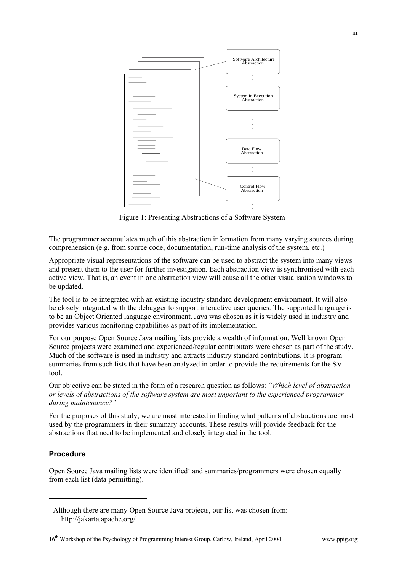

Figure 1: Presenting Abstractions of a Software System

The programmer accumulates much of this abstraction information from many varying sources during comprehension (e.g. from source code, documentation, run-time analysis of the system, etc.)

Appropriate visual representations of the software can be used to abstract the system into many views and present them to the user for further investigation. Each abstraction view is synchronised with each active view. That is, an event in one abstraction view will cause all the other visualisation windows to be updated.

The tool is to be integrated with an existing industry standard development environment. It will also be closely integrated with the debugger to support interactive user queries. The supported language is to be an Object Oriented language environment. Java was chosen as it is widely used in industry and provides various monitoring capabilities as part of its implementation.

For our purpose Open Source Java mailing lists provide a wealth of information. Well known Open Source projects were examined and experienced/regular contributors were chosen as part of the study. Much of the software is used in industry and attracts industry standard contributions. It is program summaries from such lists that have been analyzed in order to provide the requirements for the SV tool.

Our objective can be stated in the form of a research question as follows: *"Which level of abstraction or levels of abstractions of the software system are most important to the experienced programmer during maintenance?''*

For the purposes of this study, we are most interested in finding what patterns of abstractions are most used by the programmers in their summary accounts. These results will provide feedback for the abstractions that need to be implemented and closely integrated in the tool.

# **Procedure**

 $\overline{a}$ 

Open Source Java mailing lists were identified<sup>1</sup> and summaries/programmers were chosen equally from each list (data permitting).

<sup>&</sup>lt;sup>1</sup> Although there are many Open Source Java projects, our list was chosen from: http://jakarta.apache.org/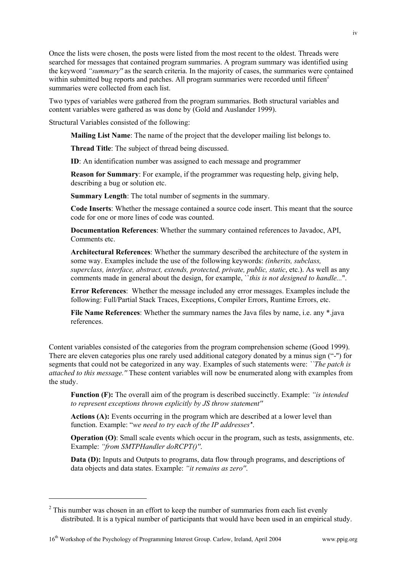Once the lists were chosen, the posts were listed from the most recent to the oldest. Threads were searched for messages that contained program summaries. A program summary was identified using the keyword *"summary''* as the search criteria. In the majority of cases, the summaries were contained within submitted bug reports and patches. All program summaries were recorded until fifteen<sup>2</sup> summaries were collected from each list.

Two types of variables were gathered from the program summaries. Both structural variables and content variables were gathered as was done by (Gold and Auslander 1999).

Structural Variables consisted of the following:

**Mailing List Name**: The name of the project that the developer mailing list belongs to.

**Thread Title**: The subject of thread being discussed.

**ID**: An identification number was assigned to each message and programmer

 **Reason for Summary**: For example, if the programmer was requesting help, giving help, describing a bug or solution etc.

**Summary Length**: The total number of segments in the summary.

 **Code Inserts**: Whether the message contained a source code insert. This meant that the source code for one or more lines of code was counted.

 **Documentation References**: Whether the summary contained references to Javadoc, API, Comments etc.

 **Architectural References**: Whether the summary described the architecture of the system in some way. Examples include the use of the following keywords: *(inherits, subclass, superclass, interface, abstract, extends, protected, private, public, static*, etc.). As well as any comments made in general about the design, for example, ``*this is not designed to handle...*''.

 **Error References**: Whether the message included any error messages. Examples include the following: Full/Partial Stack Traces, Exceptions, Compiler Errors, Runtime Errors, etc.

 **File Name References**: Whether the summary names the Java files by name, i.e. any \*.java references.

Content variables consisted of the categories from the program comprehension scheme (Good 1999). There are eleven categories plus one rarely used additional category donated by a minus sign ("-'') for segments that could not be categorized in any way. Examples of such statements were: *``The patch is attached to this message.''* These content variables will now be enumerated along with examples from the study.

 **Function (F):** The overall aim of the program is described succinctly. Example: *"is intended to represent exceptions thrown explicitly by JS throw statement''*

 **Actions (A):** Events occurring in the program which are described at a lower level than function. Example: "*we need to try each of the IP addresses'*'.

**Operation (O)**: Small scale events which occur in the program, such as tests, assignments, etc. Example: *"from SMTPHandler doRCPT()''*.

 **Data (D):** Inputs and Outputs to programs, data flow through programs, and descriptions of data objects and data states. Example: *"it remains as zero''*.

 $\overline{a}$ 

 $2^2$  This number was chosen in an effort to keep the number of summaries from each list evenly distributed. It is a typical number of participants that would have been used in an empirical study.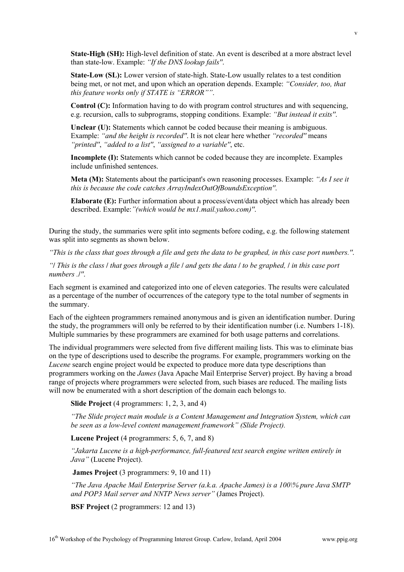**State-High (SH):** High-level definition of state. An event is described at a more abstract level than state-low. Example: *"If the DNS lookup fails''*.

 **State-Low (SL):** Lower version of state-high. State-Low usually relates to a test condition being met, or not met, and upon which an operation depends. Example: *"Consider, too, that this feature works only if STATE is "ERROR""*.

 **Control (C):** Information having to do with program control structures and with sequencing, e.g. recursion, calls to subprograms, stopping conditions. Example: *"But instead it exits''*.

 **Unclear (U):** Statements which cannot be coded because their meaning is ambiguous. Example: *"and the height is recorded''*. It is not clear here whether *"recorded''* means *"printed''*, *"added to a list''*, *"assigned to a variable''*, etc.

 **Incomplete (I):** Statements which cannot be coded because they are incomplete. Examples include unfinished sentences.

 **Meta (M):** Statements about the participant's own reasoning processes. Example: *"As I see it this is because the code catches ArrayIndexOutOfBoundsException''*.

 **Elaborate (E):** Further information about a process/event/data object which has already been described. Example:*"(which would be mx1.mail.yahoo.com)''*.

During the study, the summaries were split into segments before coding, e.g. the following statement was split into segments as shown below.

*"This is the class that goes through a file and gets the data to be graphed, in this case port numbers.''*.

*"***/** *This is the class* **/** *that goes through a file* **/** *and gets the data* **/** *to be graphed,* **/** *in this case port numbers .***/***''*.

Each segment is examined and categorized into one of eleven categories. The results were calculated as a percentage of the number of occurrences of the category type to the total number of segments in the summary.

Each of the eighteen programmers remained anonymous and is given an identification number. During the study, the programmers will only be referred to by their identification number (i.e. Numbers 1-18). Multiple summaries by these programmers are examined for both usage patterns and correlations.

The individual programmers were selected from five different mailing lists. This was to eliminate bias on the type of descriptions used to describe the programs. For example, programmers working on the *Lucene* search engine project would be expected to produce more data type descriptions than programmers working on the *James* (Java Apache Mail Enterprise Server) project. By having a broad range of projects where programmers were selected from, such biases are reduced. The mailing lists will now be enumerated with a short description of the domain each belongs to.

**Slide Project** (4 programmers: 1, 2, 3, and 4)

*"The Slide project main module is a Content Management and Integration System, which can be seen as a low-level content management framework" (Slide Project).*

**Lucene Project** (4 programmers: 5, 6, 7, and 8)

*"Jakarta Lucene is a high-performance, full-featured text search engine written entirely in Java"* (Lucene Project).

 **James Project** (3 programmers: 9, 10 and 11)

*"The Java Apache Mail Enterprise Server (a.k.a. Apache James) is a 100\% pure Java SMTP and POP3 Mail server and NNTP News server"* (James Project).

**BSF Project** (2 programmers: 12 and 13)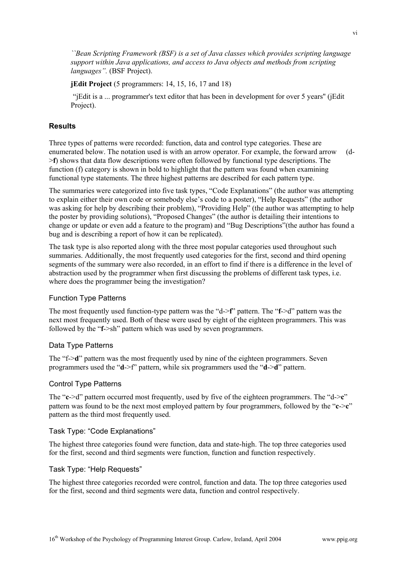*``Bean Scripting Framework (BSF) is a set of Java classes which provides scripting language support within Java applications, and access to Java objects and methods from scripting languages".* (BSF Project).

**jEdit Project** (5 programmers: 14, 15, 16, 17 and 18)

 "jEdit is a ... programmer's text editor that has been in development for over 5 years'' (jEdit Project).

## **Results**

Three types of patterns were recorded: function, data and control type categories. These are enumerated below. The notation used is with an arrow operator. For example, the forward arrow (d- >**f**) shows that data flow descriptions were often followed by functional type descriptions. The function (f) category is shown in bold to highlight that the pattern was found when examining functional type statements. The three highest patterns are described for each pattern type.

The summaries were categorized into five task types, "Code Explanations" (the author was attempting to explain either their own code or somebody else's code to a poster), "Help Requests" (the author was asking for help by describing their problem), "Providing Help" (the author was attempting to help the poster by providing solutions), "Proposed Changes" (the author is detailing their intentions to change or update or even add a feature to the program) and "Bug Descriptions"(the author has found a bug and is describing a report of how it can be replicated).

The task type is also reported along with the three most popular categories used throughout such summaries. Additionally, the most frequently used categories for the first, second and third opening segments of the summary were also recorded, in an effort to find if there is a difference in the level of abstraction used by the programmer when first discussing the problems of different task types, i.e. where does the programmer being the investigation?

## Function Type Patterns

The most frequently used function-type pattern was the "d->**f**" pattern. The "**f**->d" pattern was the next most frequently used. Both of these were used by eight of the eighteen programmers. This was followed by the "**f**->sh" pattern which was used by seven programmers.

#### Data Type Patterns

The "f->**d**" pattern was the most frequently used by nine of the eighteen programmers. Seven programmers used the "**d**->f" pattern, while six programmers used the "**d**->**d**" pattern.

#### Control Type Patterns

The "**c**->d" pattern occurred most frequently, used by five of the eighteen programmers. The "d->**c**" pattern was found to be the next most employed pattern by four programmers, followed by the "**c**->**c**" pattern as the third most frequently used.

## Task Type: "Code Explanations"

The highest three categories found were function, data and state-high. The top three categories used for the first, second and third segments were function, function and function respectively.

#### Task Type: "Help Requests"

The highest three categories recorded were control, function and data. The top three categories used for the first, second and third segments were data, function and control respectively.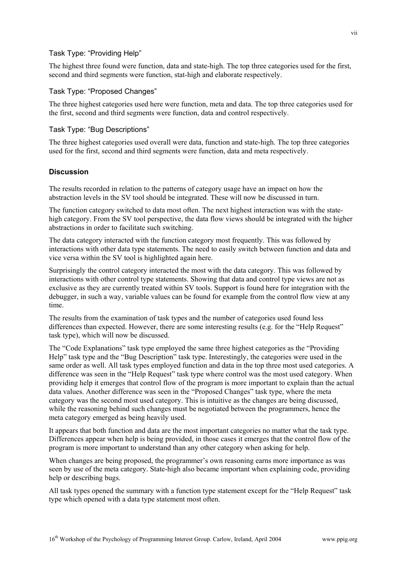# Task Type: "Providing Help"

The highest three found were function, data and state-high. The top three categories used for the first, second and third segments were function, stat-high and elaborate respectively.

#### Task Type: "Proposed Changes"

The three highest categories used here were function, meta and data. The top three categories used for the first, second and third segments were function, data and control respectively.

#### Task Type: "Bug Descriptions"

The three highest categories used overall were data, function and state-high. The top three categories used for the first, second and third segments were function, data and meta respectively.

#### **Discussion**

The results recorded in relation to the patterns of category usage have an impact on how the abstraction levels in the SV tool should be integrated. These will now be discussed in turn.

The function category switched to data most often. The next highest interaction was with the statehigh category. From the SV tool perspective, the data flow views should be integrated with the higher abstractions in order to facilitate such switching.

The data category interacted with the function category most frequently. This was followed by interactions with other data type statements. The need to easily switch between function and data and vice versa within the SV tool is highlighted again here.

Surprisingly the control category interacted the most with the data category. This was followed by interactions with other control type statements. Showing that data and control type views are not as exclusive as they are currently treated within SV tools. Support is found here for integration with the debugger, in such a way, variable values can be found for example from the control flow view at any time.

The results from the examination of task types and the number of categories used found less differences than expected. However, there are some interesting results (e.g. for the "Help Request" task type), which will now be discussed.

The "Code Explanations" task type employed the same three highest categories as the "Providing Help" task type and the "Bug Description" task type. Interestingly, the categories were used in the same order as well. All task types employed function and data in the top three most used categories. A difference was seen in the "Help Request" task type where control was the most used category. When providing help it emerges that control flow of the program is more important to explain than the actual data values. Another difference was seen in the "Proposed Changes" task type, where the meta category was the second most used category. This is intuitive as the changes are being discussed, while the reasoning behind such changes must be negotiated between the programmers, hence the meta category emerged as being heavily used.

It appears that both function and data are the most important categories no matter what the task type. Differences appear when help is being provided, in those cases it emerges that the control flow of the program is more important to understand than any other category when asking for help.

When changes are being proposed, the programmer's own reasoning earns more importance as was seen by use of the meta category. State-high also became important when explaining code, providing help or describing bugs.

All task types opened the summary with a function type statement except for the "Help Request" task type which opened with a data type statement most often.